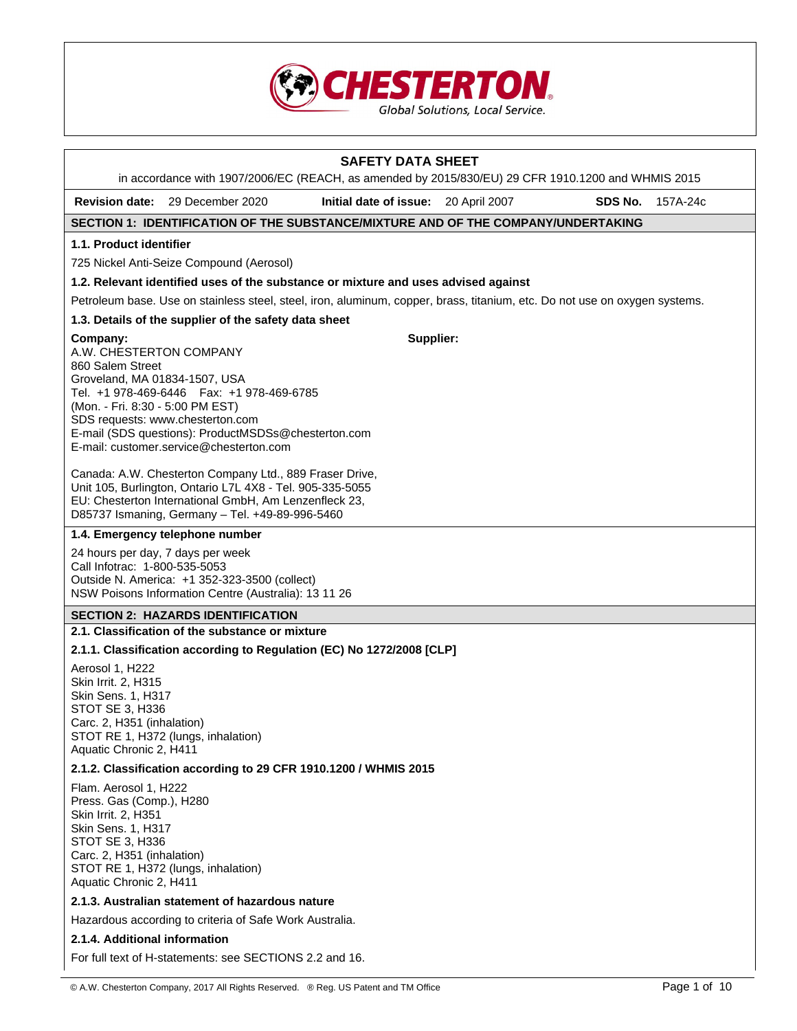

|                                                                                                                                                                                   | in accordance with 1907/2006/EC (REACH, as amended by 2015/830/EU) 29 CFR 1910.1200 and WHMIS 2015                                                                                                                               | <b>SAFETY DATA SHEET</b>             |  |         |          |  |
|-----------------------------------------------------------------------------------------------------------------------------------------------------------------------------------|----------------------------------------------------------------------------------------------------------------------------------------------------------------------------------------------------------------------------------|--------------------------------------|--|---------|----------|--|
|                                                                                                                                                                                   | <b>Revision date:</b> 29 December 2020                                                                                                                                                                                           | Initial date of issue: 20 April 2007 |  | SDS No. | 157A-24c |  |
|                                                                                                                                                                                   | SECTION 1: IDENTIFICATION OF THE SUBSTANCE/MIXTURE AND OF THE COMPANY/UNDERTAKING                                                                                                                                                |                                      |  |         |          |  |
| 1.1. Product identifier                                                                                                                                                           |                                                                                                                                                                                                                                  |                                      |  |         |          |  |
|                                                                                                                                                                                   | 725 Nickel Anti-Seize Compound (Aerosol)                                                                                                                                                                                         |                                      |  |         |          |  |
|                                                                                                                                                                                   | 1.2. Relevant identified uses of the substance or mixture and uses advised against                                                                                                                                               |                                      |  |         |          |  |
|                                                                                                                                                                                   | Petroleum base. Use on stainless steel, steel, iron, aluminum, copper, brass, titanium, etc. Do not use on oxygen systems.                                                                                                       |                                      |  |         |          |  |
|                                                                                                                                                                                   | 1.3. Details of the supplier of the safety data sheet                                                                                                                                                                            |                                      |  |         |          |  |
| Company:<br>A.W. CHESTERTON COMPANY<br>860 Salem Street<br>Groveland, MA 01834-1507, USA<br>(Mon. - Fri. 8:30 - 5:00 PM EST)                                                      | Tel. +1 978-469-6446   Fax: +1 978-469-6785<br>SDS requests: www.chesterton.com<br>E-mail (SDS questions): ProductMSDSs@chesterton.com<br>E-mail: customer.service@chesterton.com                                                | Supplier:                            |  |         |          |  |
|                                                                                                                                                                                   | Canada: A.W. Chesterton Company Ltd., 889 Fraser Drive,<br>Unit 105, Burlington, Ontario L7L 4X8 - Tel. 905-335-5055<br>EU: Chesterton International GmbH, Am Lenzenfleck 23,<br>D85737 Ismaning, Germany - Tel. +49-89-996-5460 |                                      |  |         |          |  |
|                                                                                                                                                                                   | 1.4. Emergency telephone number                                                                                                                                                                                                  |                                      |  |         |          |  |
|                                                                                                                                                                                   | 24 hours per day, 7 days per week<br>Call Infotrac: 1-800-535-5053<br>Outside N. America: +1 352-323-3500 (collect)<br>NSW Poisons Information Centre (Australia): 13 11 26                                                      |                                      |  |         |          |  |
|                                                                                                                                                                                   | <b>SECTION 2: HAZARDS IDENTIFICATION</b>                                                                                                                                                                                         |                                      |  |         |          |  |
|                                                                                                                                                                                   | 2.1. Classification of the substance or mixture                                                                                                                                                                                  |                                      |  |         |          |  |
|                                                                                                                                                                                   | 2.1.1. Classification according to Regulation (EC) No 1272/2008 [CLP]                                                                                                                                                            |                                      |  |         |          |  |
| Aerosol 1, H222<br>Skin Irrit. 2, H315<br>Skin Sens. 1, H317<br><b>STOT SE 3, H336</b><br>Carc. 2, H351 (inhalation)<br>Aquatic Chronic 2, H411                                   | STOT RE 1, H372 (lungs, inhalation)                                                                                                                                                                                              |                                      |  |         |          |  |
|                                                                                                                                                                                   | 2.1.2. Classification according to 29 CFR 1910.1200 / WHMIS 2015                                                                                                                                                                 |                                      |  |         |          |  |
| Flam. Aerosol 1, H222<br>Press. Gas (Comp.), H280<br>Skin Irrit. 2, H351<br>Skin Sens. 1, H317<br><b>STOT SE 3, H336</b><br>Carc. 2, H351 (inhalation)<br>Aquatic Chronic 2, H411 | STOT RE 1, H372 (lungs, inhalation)                                                                                                                                                                                              |                                      |  |         |          |  |
|                                                                                                                                                                                   | 2.1.3. Australian statement of hazardous nature                                                                                                                                                                                  |                                      |  |         |          |  |
|                                                                                                                                                                                   | Hazardous according to criteria of Safe Work Australia.                                                                                                                                                                          |                                      |  |         |          |  |
| 2.1.4. Additional information                                                                                                                                                     |                                                                                                                                                                                                                                  |                                      |  |         |          |  |
|                                                                                                                                                                                   | For full text of H-statements: see SECTIONS 2.2 and 16.                                                                                                                                                                          |                                      |  |         |          |  |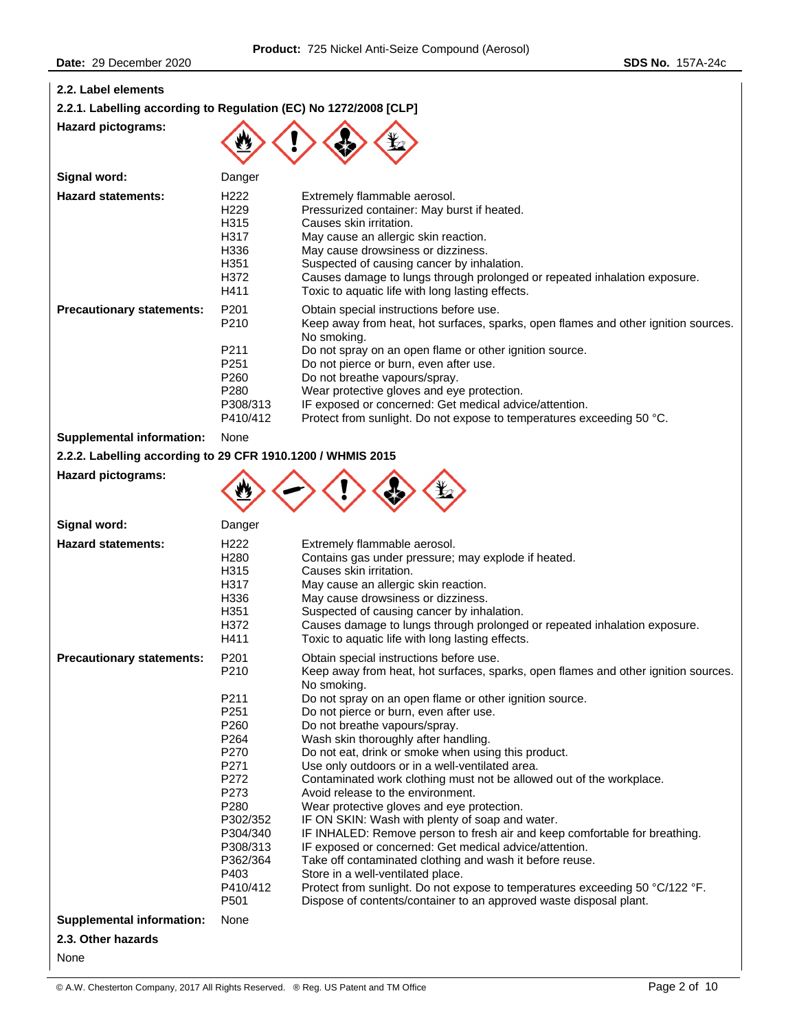# **2.2. Label elements**

|  | 2.2.1. Labelling according to Regulation (EC) No 1272/2008 [CLP] |  |  |
|--|------------------------------------------------------------------|--|--|
|--|------------------------------------------------------------------|--|--|

**Hazard pictograms:** 



| Signal word:                     | Danger                                                                                                                           |                                                                                                                                                                                                                                                                                                                                                                                                                                                                     |
|----------------------------------|----------------------------------------------------------------------------------------------------------------------------------|---------------------------------------------------------------------------------------------------------------------------------------------------------------------------------------------------------------------------------------------------------------------------------------------------------------------------------------------------------------------------------------------------------------------------------------------------------------------|
| <b>Hazard statements:</b>        | H <sub>222</sub><br>H <sub>229</sub><br>H315<br>H317<br>H336<br>H351<br>H372<br>H411                                             | Extremely flammable aerosol.<br>Pressurized container: May burst if heated.<br>Causes skin irritation.<br>May cause an allergic skin reaction.<br>May cause drowsiness or dizziness.<br>Suspected of causing cancer by inhalation.<br>Causes damage to lungs through prolonged or repeated inhalation exposure.<br>Toxic to aquatic life with long lasting effects.                                                                                                 |
| <b>Precautionary statements:</b> | P <sub>201</sub><br>P <sub>210</sub><br>P211<br>P <sub>251</sub><br>P <sub>260</sub><br>P <sub>280</sub><br>P308/313<br>P410/412 | Obtain special instructions before use.<br>Keep away from heat, hot surfaces, sparks, open flames and other ignition sources.<br>No smoking.<br>Do not spray on an open flame or other ignition source.<br>Do not pierce or burn, even after use.<br>Do not breathe vapours/spray.<br>Wear protective gloves and eye protection.<br>IF exposed or concerned: Get medical advice/attention.<br>Protect from sunlight. Do not expose to temperatures exceeding 50 °C. |

# **Supplemental information:** None

**Hazard pictograms:** 

**2.2.2. Labelling according to 29 CFR 1910.1200 / WHMIS 2015** 

| $\begin{picture}(150,10) \put(0,0){\line(1,0){10}} \put(15,0){\line(1,0){10}} \put(15,0){\line(1,0){10}} \put(15,0){\line(1,0){10}} \put(15,0){\line(1,0){10}} \put(15,0){\line(1,0){10}} \put(15,0){\line(1,0){10}} \put(15,0){\line(1,0){10}} \put(15,0){\line(1,0){10}} \put(15,0){\line(1,0){10}} \put(15,0){\line(1,0){10}} \put(15,0){\line($ |  |  |
|-----------------------------------------------------------------------------------------------------------------------------------------------------------------------------------------------------------------------------------------------------------------------------------------------------------------------------------------------------|--|--|
|                                                                                                                                                                                                                                                                                                                                                     |  |  |

| Signal word:                     | Danger                                                                               |                                                                                                                                                                                                                                                                                                                                                                             |
|----------------------------------|--------------------------------------------------------------------------------------|-----------------------------------------------------------------------------------------------------------------------------------------------------------------------------------------------------------------------------------------------------------------------------------------------------------------------------------------------------------------------------|
| <b>Hazard statements:</b>        | H <sub>222</sub><br>H <sub>280</sub><br>H315<br>H317<br>H336<br>H351<br>H372<br>H411 | Extremely flammable aerosol.<br>Contains gas under pressure; may explode if heated.<br>Causes skin irritation.<br>May cause an allergic skin reaction.<br>May cause drowsiness or dizziness.<br>Suspected of causing cancer by inhalation.<br>Causes damage to lungs through prolonged or repeated inhalation exposure.<br>Toxic to aquatic life with long lasting effects. |
| <b>Precautionary statements:</b> | P201<br>P210                                                                         | Obtain special instructions before use.<br>Keep away from heat, hot surfaces, sparks, open flames and other ignition sources.<br>No smoking.                                                                                                                                                                                                                                |
|                                  | P211                                                                                 | Do not spray on an open flame or other ignition source.                                                                                                                                                                                                                                                                                                                     |
|                                  | P251                                                                                 | Do not pierce or burn, even after use.                                                                                                                                                                                                                                                                                                                                      |
|                                  | P <sub>260</sub>                                                                     | Do not breathe vapours/spray.                                                                                                                                                                                                                                                                                                                                               |
|                                  | P264                                                                                 | Wash skin thoroughly after handling.                                                                                                                                                                                                                                                                                                                                        |
|                                  | P270                                                                                 | Do not eat, drink or smoke when using this product.                                                                                                                                                                                                                                                                                                                         |
|                                  | P271<br>P272                                                                         | Use only outdoors or in a well-ventilated area.                                                                                                                                                                                                                                                                                                                             |
|                                  | P273                                                                                 | Contaminated work clothing must not be allowed out of the workplace.<br>Avoid release to the environment.                                                                                                                                                                                                                                                                   |
|                                  | P280                                                                                 | Wear protective gloves and eye protection.                                                                                                                                                                                                                                                                                                                                  |
|                                  | P302/352                                                                             | IF ON SKIN: Wash with plenty of soap and water.                                                                                                                                                                                                                                                                                                                             |
|                                  | P304/340                                                                             | IF INHALED: Remove person to fresh air and keep comfortable for breathing.                                                                                                                                                                                                                                                                                                  |
|                                  | P308/313                                                                             | IF exposed or concerned: Get medical advice/attention.                                                                                                                                                                                                                                                                                                                      |
|                                  | P362/364                                                                             | Take off contaminated clothing and wash it before reuse.                                                                                                                                                                                                                                                                                                                    |
|                                  | P403                                                                                 | Store in a well-ventilated place.                                                                                                                                                                                                                                                                                                                                           |
|                                  | P410/412                                                                             | Protect from sunlight. Do not expose to temperatures exceeding 50 °C/122 °F.                                                                                                                                                                                                                                                                                                |
|                                  | P501                                                                                 | Dispose of contents/container to an approved waste disposal plant.                                                                                                                                                                                                                                                                                                          |
| <b>Supplemental information:</b> | None                                                                                 |                                                                                                                                                                                                                                                                                                                                                                             |
| 2.3. Other hazards               |                                                                                      |                                                                                                                                                                                                                                                                                                                                                                             |
| None                             |                                                                                      |                                                                                                                                                                                                                                                                                                                                                                             |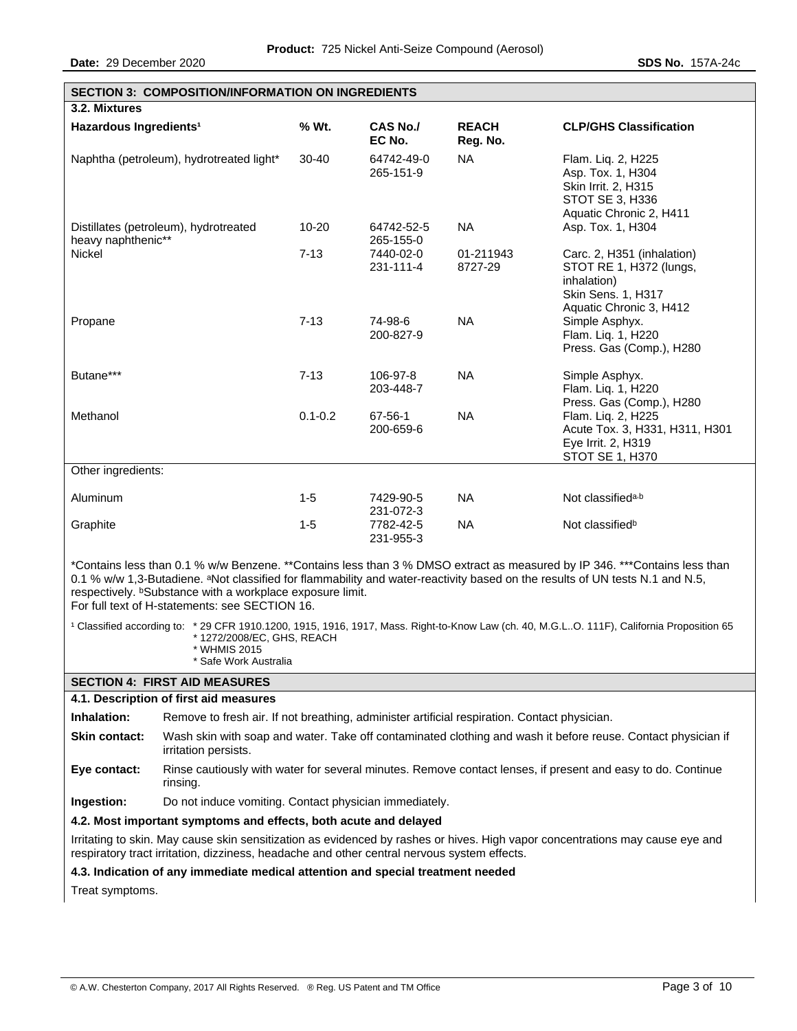**Date:** 29 December 2020 **SDS No.** 157A-24c

| <b>SECTION 3: COMPOSITION/INFORMATION ON INGREDIENTS</b>    |             |                           |                          |                                                                                                                       |
|-------------------------------------------------------------|-------------|---------------------------|--------------------------|-----------------------------------------------------------------------------------------------------------------------|
| 3.2. Mixtures                                               |             |                           |                          |                                                                                                                       |
| Hazardous Ingredients <sup>1</sup>                          | % Wt.       | <b>CAS No./</b><br>EC No. | <b>REACH</b><br>Reg. No. | <b>CLP/GHS Classification</b>                                                                                         |
| Naphtha (petroleum), hydrotreated light*                    | $30 - 40$   | 64742-49-0<br>265-151-9   | <b>NA</b>                | Flam. Lig. 2, H225<br>Asp. Tox. 1, H304<br>Skin Irrit. 2, H315<br>STOT SE 3, H336<br>Aquatic Chronic 2, H411          |
| Distillates (petroleum), hydrotreated<br>heavy naphthenic** | 10-20       | 64742-52-5<br>265-155-0   | <b>NA</b>                | Asp. Tox. 1, H304                                                                                                     |
| <b>Nickel</b>                                               | $7 - 13$    | 7440-02-0<br>231-111-4    | 01-211943<br>8727-29     | Carc. 2, H351 (inhalation)<br>STOT RE 1, H372 (lungs,<br>inhalation)<br>Skin Sens. 1, H317<br>Aquatic Chronic 3, H412 |
| Propane                                                     | $7-13$      | 74-98-6<br>200-827-9      | <b>NA</b>                | Simple Asphyx.<br>Flam. Liq. 1, H220<br>Press. Gas (Comp.), H280                                                      |
| Butane***                                                   | $7 - 13$    | 106-97-8<br>203-448-7     | <b>NA</b>                | Simple Asphyx.<br>Flam. Lig. 1, H220<br>Press. Gas (Comp.), H280                                                      |
| Methanol                                                    | $0.1 - 0.2$ | 67-56-1<br>200-659-6      | <b>NA</b>                | Flam. Liq. 2, H225<br>Acute Tox. 3, H331, H311, H301<br>Eye Irrit. 2, H319<br><b>STOT SE 1, H370</b>                  |
| Other ingredients:                                          |             |                           |                          |                                                                                                                       |
| Aluminum                                                    | $1-5$       | 7429-90-5<br>231-072-3    | <b>NA</b>                | Not classified <sup>a,b</sup>                                                                                         |
| Graphite                                                    | $1-5$       | 7782-42-5<br>231-955-3    | <b>NA</b>                | Not classified <sup>b</sup>                                                                                           |

\*Contains less than 0.1 % w/w Benzene. \*\*Contains less than 3 % DMSO extract as measured by IP 346. \*\*\*Contains less than 0.1 % w/w 1,3-Butadiene. <sup>a</sup>Not classified for flammability and water-reactivity based on the results of UN tests N.1 and N.5, respectively. **bSubstance with a workplace exposure limit.** For full text of H-statements: see SECTION 16.

<sup>1</sup> Classified according to: \* 29 CFR 1910.1200, 1915, 1916, 1917, Mass. Right-to-Know Law (ch. 40, M.G.L..O. 111F), California Proposition 65 \* 1272/2008/EC, GHS, REACH

- \* WHMIS 2015
	- \* Safe Work Australia

#### **SECTION 4: FIRST AID MEASURES**

**4.1. Description of first aid measures** 

**Inhalation:** Remove to fresh air. If not breathing, administer artificial respiration. Contact physician.

**Skin contact:** Wash skin with soap and water. Take off contaminated clothing and wash it before reuse. Contact physician if irritation persists.

**Eye contact:** Rinse cautiously with water for several minutes. Remove contact lenses, if present and easy to do. Continue rinsing.

**Ingestion:** Do not induce vomiting. Contact physician immediately.

### **4.2. Most important symptoms and effects, both acute and delayed**

Irritating to skin. May cause skin sensitization as evidenced by rashes or hives. High vapor concentrations may cause eye and respiratory tract irritation, dizziness, headache and other central nervous system effects.

#### **4.3. Indication of any immediate medical attention and special treatment needed**

Treat symptoms.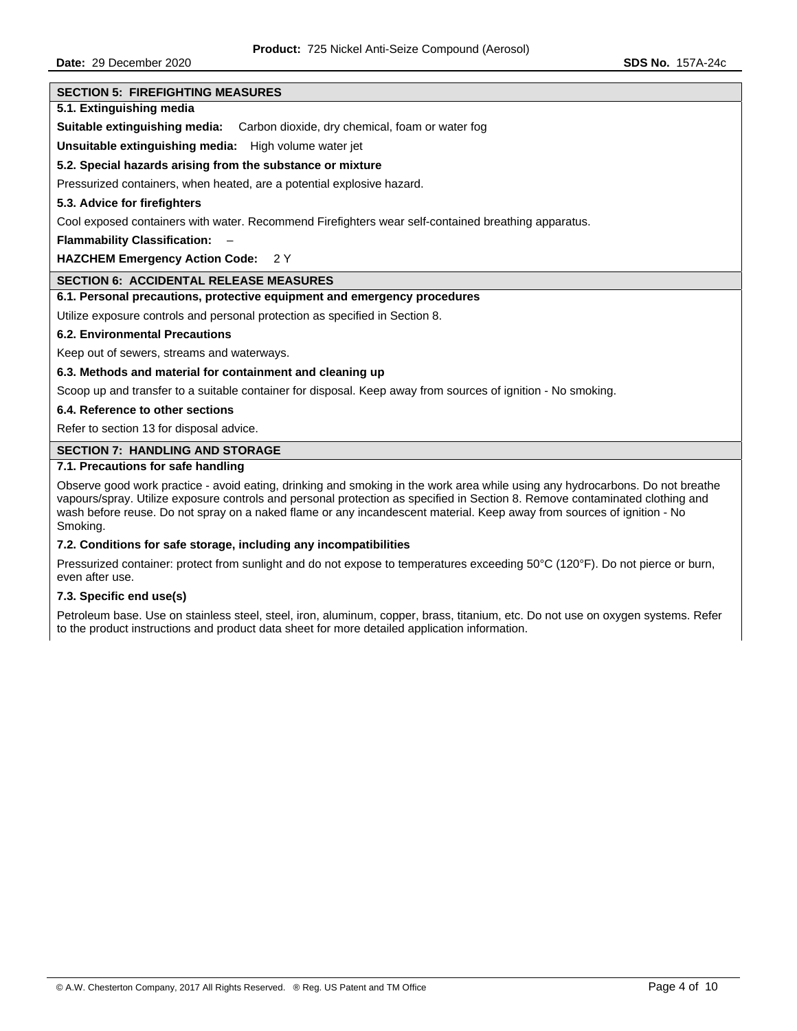**Date:** 29 December 2020 **SDS No.** 157A-24c

#### **SECTION 5: FIREFIGHTING MEASURES**

# **5.1. Extinguishing media**

**Suitable extinguishing media:** Carbon dioxide, dry chemical, foam or water fog

**Unsuitable extinguishing media:** High volume water jet

### **5.2. Special hazards arising from the substance or mixture**

Pressurized containers, when heated, are a potential explosive hazard.

### **5.3. Advice for firefighters**

Cool exposed containers with water. Recommend Firefighters wear self-contained breathing apparatus.

**Flammability Classification:** –

### **HAZCHEM Emergency Action Code:** 2 Y

# **SECTION 6: ACCIDENTAL RELEASE MEASURES**

### **6.1. Personal precautions, protective equipment and emergency procedures**

Utilize exposure controls and personal protection as specified in Section 8.

#### **6.2. Environmental Precautions**

Keep out of sewers, streams and waterways.

# **6.3. Methods and material for containment and cleaning up**

Scoop up and transfer to a suitable container for disposal. Keep away from sources of ignition - No smoking.

### **6.4. Reference to other sections**

Refer to section 13 for disposal advice.

# **SECTION 7: HANDLING AND STORAGE**

# **7.1. Precautions for safe handling**

Observe good work practice - avoid eating, drinking and smoking in the work area while using any hydrocarbons. Do not breathe vapours/spray. Utilize exposure controls and personal protection as specified in Section 8. Remove contaminated clothing and wash before reuse. Do not spray on a naked flame or any incandescent material. Keep away from sources of ignition - No Smoking.

# **7.2. Conditions for safe storage, including any incompatibilities**

Pressurized container: protect from sunlight and do not expose to temperatures exceeding 50°C (120°F). Do not pierce or burn, even after use.

# **7.3. Specific end use(s)**

Petroleum base. Use on stainless steel, steel, iron, aluminum, copper, brass, titanium, etc. Do not use on oxygen systems. Refer to the product instructions and product data sheet for more detailed application information.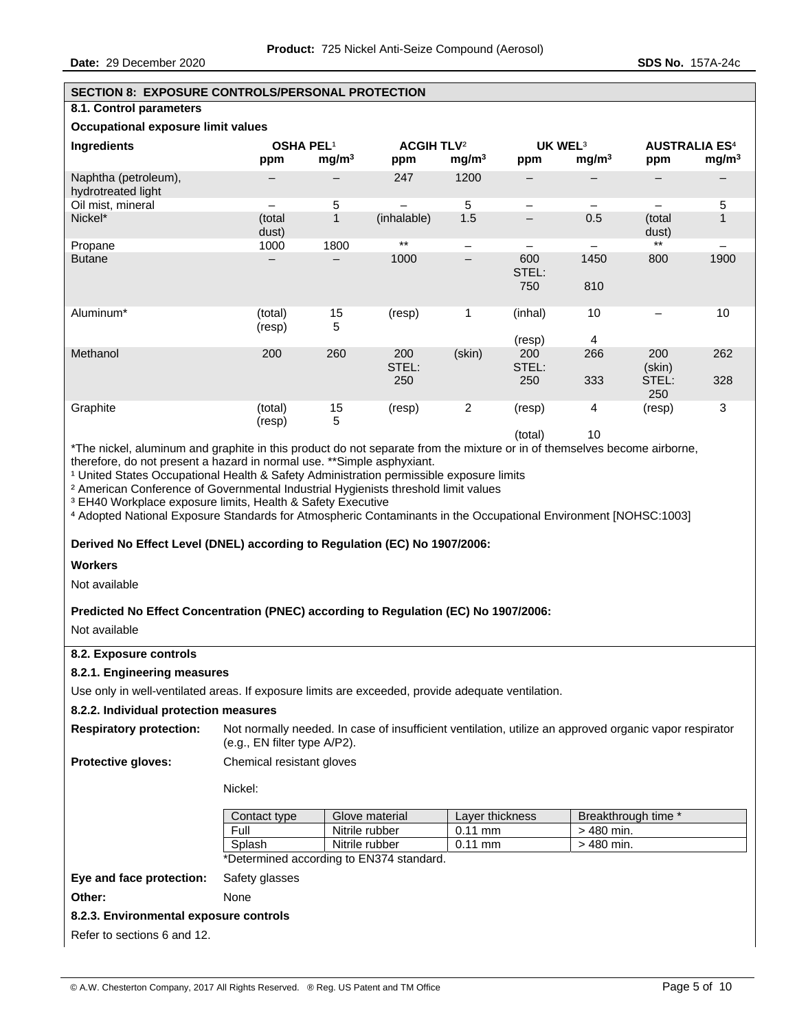### **SECTION 8: EXPOSURE CONTROLS/PERSONAL PROTECTION**

# **8.1. Control parameters**

# **Occupational exposure limit values**

| Occupational caposure illine values        |                         |                   |                                     |                          |                     |                                          |                        |                                           |
|--------------------------------------------|-------------------------|-------------------|-------------------------------------|--------------------------|---------------------|------------------------------------------|------------------------|-------------------------------------------|
| Ingredients                                | <b>OSHA PEL1</b><br>ppm | mg/m <sup>3</sup> | <b>ACGIH TLV<sup>2</sup></b><br>ppm | mg/m <sup>3</sup>        | ppm                 | UK WEL <sup>3</sup><br>mg/m <sup>3</sup> | ppm                    | <b>AUSTRALIA ES4</b><br>mg/m <sup>3</sup> |
| Naphtha (petroleum),<br>hydrotreated light |                         |                   | 247                                 | 1200                     |                     |                                          |                        |                                           |
| Oil mist, mineral                          |                         | 5                 |                                     | 5                        | -                   | -                                        | —                      | 5                                         |
| Nickel*                                    | (total<br>dust)         | $\mathbf{1}$      | (inhalable)                         | 1.5                      | -                   | 0.5                                      | (total<br>dust)        | $\mathbf{1}$                              |
| Propane                                    | 1000                    | 1800              | $\star\star$                        | $\qquad \qquad -$        |                     |                                          | $\star\star$           | —                                         |
| <b>Butane</b>                              | $\qquad \qquad -$       |                   | 1000                                | $\overline{\phantom{m}}$ | 600<br>STEL:<br>750 | 1450<br>810                              | 800                    | 1900                                      |
| Aluminum*                                  | (total)<br>(resp)       | 15<br>5           | (resp)                              | 1                        | (inhal)<br>(resp)   | 10<br>4                                  |                        | 10                                        |
| Methanol                                   | 200                     | 260               | 200<br>STEL:<br>250                 | (skin)                   | 200<br>STEL:<br>250 | 266<br>333                               | 200<br>(skin)<br>STEL: | 262<br>328                                |
|                                            |                         |                   |                                     |                          |                     |                                          | 250                    |                                           |
| Graphite                                   | (total)<br>(resp)       | 15<br>5           | (resp)                              | $\sqrt{2}$               | (resp)              | 4                                        | (resp)                 | 3                                         |
|                                            |                         |                   |                                     |                          | $(1 - 1 - 1)$       | $\sim$                                   |                        |                                           |

(total) 10

\*The nickel, aluminum and graphite in this product do not separate from the mixture or in of themselves become airborne, therefore, do not present a hazard in normal use. \*\*Simple asphyxiant.

<sup>1</sup> United States Occupational Health & Safety Administration permissible exposure limits

² American Conference of Governmental Industrial Hygienists threshold limit values

³ EH40 Workplace exposure limits, Health & Safety Executive

⁴ Adopted National Exposure Standards for Atmospheric Contaminants in the Occupational Environment [NOHSC:1003]

# **Derived No Effect Level (DNEL) according to Regulation (EC) No 1907/2006:**

### **Workers**

Not available

# **Predicted No Effect Concentration (PNEC) according to Regulation (EC) No 1907/2006:**

Not available

# **8.2. Exposure controls**

# **8.2.1. Engineering measures**

Use only in well-ventilated areas. If exposure limits are exceeded, provide adequate ventilation.

### **8.2.2. Individual protection measures**

| <b>Respiratory protection:</b> | Not normally needed. In case of insufficient ventilation, utilize an approved organic vapor respirator<br>(e.g., EN filter type A/P2). |
|--------------------------------|----------------------------------------------------------------------------------------------------------------------------------------|
| Duata attua alamaan            | Chamisal resistant slouge                                                                                                              |

**Protective gloves:** Chemical resistant gloves

Nickel:

| Contact type | Glove material                         | Laver thickness     | Breakthrough time * |
|--------------|----------------------------------------|---------------------|---------------------|
| Full         | Nitrile rubber                         | $0.11 \, \text{mm}$ | $>$ 480 min.        |
| Splash       | Nitrile rubber                         | $0.11 \, \text{mm}$ | $>$ 480 min.        |
|              | Notormined according to EN274 standard |                     |                     |

\*Determined according to EN374 standard.

# **Eye and face protection:** Safety glasses

**Other:** None

# **8.2.3. Environmental exposure controls**

Refer to sections 6 and 12.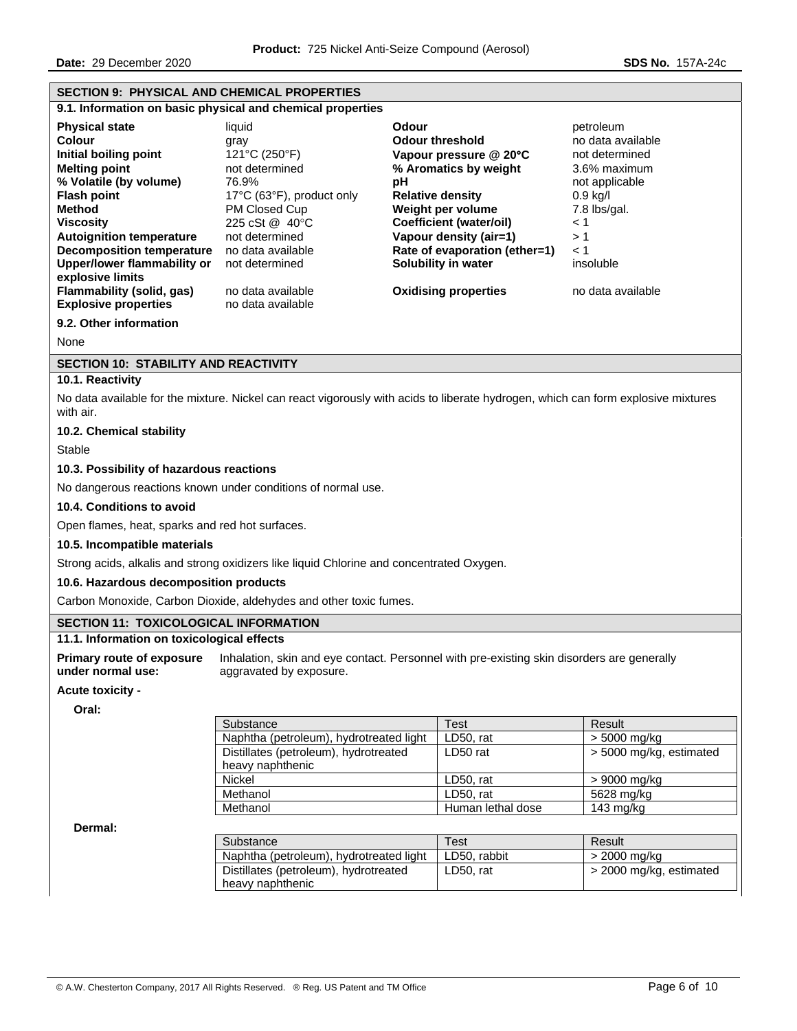**Date:** 29 December 2020 **SDS No.** 157A-24c

| <b>SECTION 9: PHYSICAL AND CHEMICAL PROPERTIES</b>                                                                                                                                                                                                                                                                                                                               |                                                                                                                                                                                                                                                                                                                                                                                                                                                                                                                                                                                                                                                                                                                         |                           |                                         |  |  |
|----------------------------------------------------------------------------------------------------------------------------------------------------------------------------------------------------------------------------------------------------------------------------------------------------------------------------------------------------------------------------------|-------------------------------------------------------------------------------------------------------------------------------------------------------------------------------------------------------------------------------------------------------------------------------------------------------------------------------------------------------------------------------------------------------------------------------------------------------------------------------------------------------------------------------------------------------------------------------------------------------------------------------------------------------------------------------------------------------------------------|---------------------------|-----------------------------------------|--|--|
|                                                                                                                                                                                                                                                                                                                                                                                  | 9.1. Information on basic physical and chemical properties                                                                                                                                                                                                                                                                                                                                                                                                                                                                                                                                                                                                                                                              |                           |                                         |  |  |
| <b>Physical state</b><br><b>Colour</b><br>Initial boiling point<br><b>Melting point</b><br>% Volatile (by volume)<br><b>Flash point</b><br><b>Method</b><br><b>Viscosity</b><br><b>Autoignition temperature</b><br><b>Decomposition temperature</b><br><b>Upper/lower flammability or</b><br>explosive limits<br><b>Flammability (solid, gas)</b><br><b>Explosive properties</b> | liquid<br><b>Odour</b><br>petroleum<br><b>Odour threshold</b><br>no data available<br>gray<br>121°C (250°F)<br>not determined<br>Vapour pressure @ 20°C<br>% Aromatics by weight<br>not determined<br>3.6% maximum<br>76.9%<br>pH<br>not applicable<br>17°C (63°F), product only<br><b>Relative density</b><br>$0.9$ kg/l<br>PM Closed Cup<br>Weight per volume<br>7.8 lbs/gal.<br><b>Coefficient (water/oil)</b><br>$\leq 1$<br>225 cSt @ 40°C<br>not determined<br>Vapour density (air=1)<br>>1<br>Rate of evaporation (ether=1)<br>$\leq 1$<br>no data available<br>Solubility in water<br>insoluble<br>not determined<br><b>Oxidising properties</b><br>no data available<br>no data available<br>no data available |                           |                                         |  |  |
| 9.2. Other information                                                                                                                                                                                                                                                                                                                                                           |                                                                                                                                                                                                                                                                                                                                                                                                                                                                                                                                                                                                                                                                                                                         |                           |                                         |  |  |
| None                                                                                                                                                                                                                                                                                                                                                                             |                                                                                                                                                                                                                                                                                                                                                                                                                                                                                                                                                                                                                                                                                                                         |                           |                                         |  |  |
| <b>SECTION 10: STABILITY AND REACTIVITY</b>                                                                                                                                                                                                                                                                                                                                      |                                                                                                                                                                                                                                                                                                                                                                                                                                                                                                                                                                                                                                                                                                                         |                           |                                         |  |  |
| 10.1. Reactivity                                                                                                                                                                                                                                                                                                                                                                 |                                                                                                                                                                                                                                                                                                                                                                                                                                                                                                                                                                                                                                                                                                                         |                           |                                         |  |  |
| with air.                                                                                                                                                                                                                                                                                                                                                                        | No data available for the mixture. Nickel can react vigorously with acids to liberate hydrogen, which can form explosive mixtures                                                                                                                                                                                                                                                                                                                                                                                                                                                                                                                                                                                       |                           |                                         |  |  |
| 10.2. Chemical stability                                                                                                                                                                                                                                                                                                                                                         |                                                                                                                                                                                                                                                                                                                                                                                                                                                                                                                                                                                                                                                                                                                         |                           |                                         |  |  |
| Stable                                                                                                                                                                                                                                                                                                                                                                           |                                                                                                                                                                                                                                                                                                                                                                                                                                                                                                                                                                                                                                                                                                                         |                           |                                         |  |  |
| 10.3. Possibility of hazardous reactions                                                                                                                                                                                                                                                                                                                                         |                                                                                                                                                                                                                                                                                                                                                                                                                                                                                                                                                                                                                                                                                                                         |                           |                                         |  |  |
|                                                                                                                                                                                                                                                                                                                                                                                  | No dangerous reactions known under conditions of normal use.                                                                                                                                                                                                                                                                                                                                                                                                                                                                                                                                                                                                                                                            |                           |                                         |  |  |
| 10.4. Conditions to avoid                                                                                                                                                                                                                                                                                                                                                        |                                                                                                                                                                                                                                                                                                                                                                                                                                                                                                                                                                                                                                                                                                                         |                           |                                         |  |  |
| Open flames, heat, sparks and red hot surfaces.                                                                                                                                                                                                                                                                                                                                  |                                                                                                                                                                                                                                                                                                                                                                                                                                                                                                                                                                                                                                                                                                                         |                           |                                         |  |  |
| 10.5. Incompatible materials                                                                                                                                                                                                                                                                                                                                                     |                                                                                                                                                                                                                                                                                                                                                                                                                                                                                                                                                                                                                                                                                                                         |                           |                                         |  |  |
|                                                                                                                                                                                                                                                                                                                                                                                  | Strong acids, alkalis and strong oxidizers like liquid Chlorine and concentrated Oxygen.                                                                                                                                                                                                                                                                                                                                                                                                                                                                                                                                                                                                                                |                           |                                         |  |  |
| 10.6. Hazardous decomposition products                                                                                                                                                                                                                                                                                                                                           |                                                                                                                                                                                                                                                                                                                                                                                                                                                                                                                                                                                                                                                                                                                         |                           |                                         |  |  |
|                                                                                                                                                                                                                                                                                                                                                                                  | Carbon Monoxide, Carbon Dioxide, aldehydes and other toxic fumes.                                                                                                                                                                                                                                                                                                                                                                                                                                                                                                                                                                                                                                                       |                           |                                         |  |  |
| <b>SECTION 11: TOXICOLOGICAL INFORMATION</b>                                                                                                                                                                                                                                                                                                                                     |                                                                                                                                                                                                                                                                                                                                                                                                                                                                                                                                                                                                                                                                                                                         |                           |                                         |  |  |
| 11.1. Information on toxicological effects                                                                                                                                                                                                                                                                                                                                       |                                                                                                                                                                                                                                                                                                                                                                                                                                                                                                                                                                                                                                                                                                                         |                           |                                         |  |  |
| <b>Primary route of exposure</b><br>under normal use:<br>Acute toxicity -<br>Oral:                                                                                                                                                                                                                                                                                               | Inhalation, skin and eye contact. Personnel with pre-existing skin disorders are generally<br>aggravated by exposure.                                                                                                                                                                                                                                                                                                                                                                                                                                                                                                                                                                                                   |                           |                                         |  |  |
|                                                                                                                                                                                                                                                                                                                                                                                  | Substance                                                                                                                                                                                                                                                                                                                                                                                                                                                                                                                                                                                                                                                                                                               | <b>Test</b>               | Result                                  |  |  |
|                                                                                                                                                                                                                                                                                                                                                                                  | Naphtha (petroleum), hydrotreated light                                                                                                                                                                                                                                                                                                                                                                                                                                                                                                                                                                                                                                                                                 | LD50, rat                 | > 5000 mg/kg                            |  |  |
|                                                                                                                                                                                                                                                                                                                                                                                  | Distillates (petroleum), hydrotreated<br>heavy naphthenic                                                                                                                                                                                                                                                                                                                                                                                                                                                                                                                                                                                                                                                               | LD50 rat                  | > 5000 mg/kg, estimated                 |  |  |
|                                                                                                                                                                                                                                                                                                                                                                                  | Nickel                                                                                                                                                                                                                                                                                                                                                                                                                                                                                                                                                                                                                                                                                                                  | LD50, rat                 | > 9000 mg/kg                            |  |  |
|                                                                                                                                                                                                                                                                                                                                                                                  | Methanol                                                                                                                                                                                                                                                                                                                                                                                                                                                                                                                                                                                                                                                                                                                | LD50, rat                 | 5628 mg/kg                              |  |  |
|                                                                                                                                                                                                                                                                                                                                                                                  | Methanol                                                                                                                                                                                                                                                                                                                                                                                                                                                                                                                                                                                                                                                                                                                | Human lethal dose         | 143 mg/kg                               |  |  |
| Dermal:                                                                                                                                                                                                                                                                                                                                                                          |                                                                                                                                                                                                                                                                                                                                                                                                                                                                                                                                                                                                                                                                                                                         |                           |                                         |  |  |
|                                                                                                                                                                                                                                                                                                                                                                                  | Substance                                                                                                                                                                                                                                                                                                                                                                                                                                                                                                                                                                                                                                                                                                               | <b>Test</b>               | Result                                  |  |  |
|                                                                                                                                                                                                                                                                                                                                                                                  | Naphtha (petroleum), hydrotreated light<br>Distillates (petroleum), hydrotreated                                                                                                                                                                                                                                                                                                                                                                                                                                                                                                                                                                                                                                        | LD50, rabbit<br>LD50, rat | > 2000 mg/kg<br>> 2000 mg/kg, estimated |  |  |
|                                                                                                                                                                                                                                                                                                                                                                                  | heavy naphthenic                                                                                                                                                                                                                                                                                                                                                                                                                                                                                                                                                                                                                                                                                                        |                           |                                         |  |  |
|                                                                                                                                                                                                                                                                                                                                                                                  |                                                                                                                                                                                                                                                                                                                                                                                                                                                                                                                                                                                                                                                                                                                         |                           |                                         |  |  |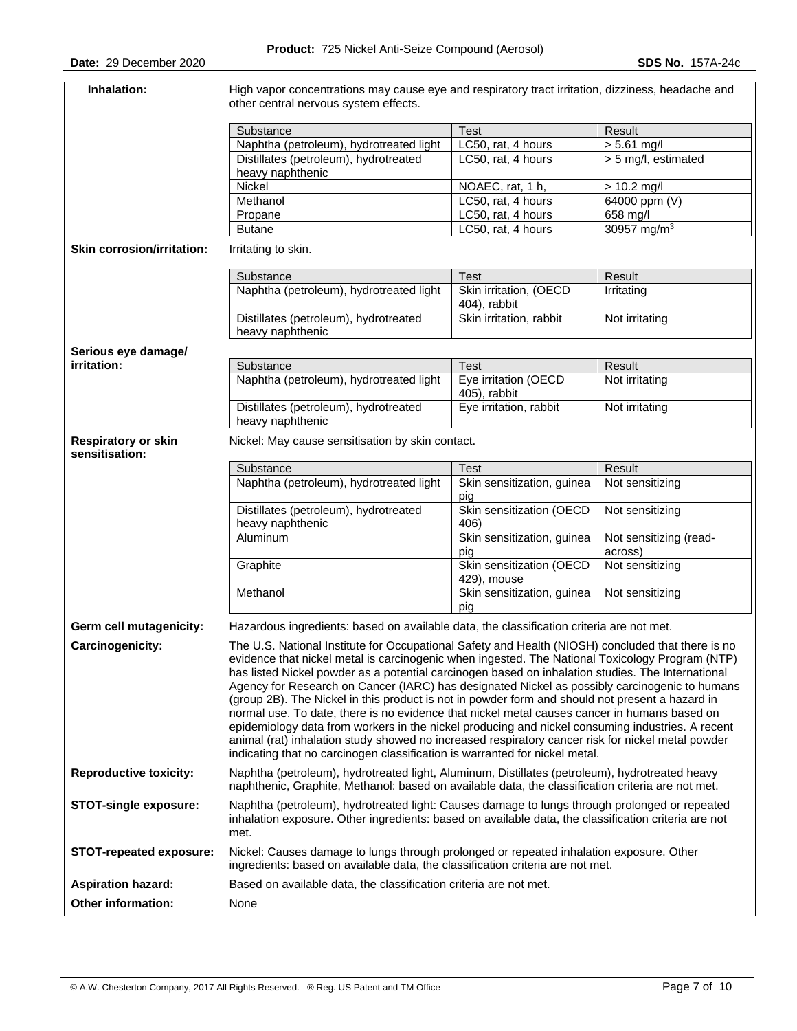| Inhalation:                                  | High vapor concentrations may cause eye and respiratory tract irritation, dizziness, headache and<br>other central nervous system effects.                                                                                                                                                                                                                                                                                                                                                                                                                                                                                                                                                                                                                                                                                                                                                            |                                         |                                   |  |  |
|----------------------------------------------|-------------------------------------------------------------------------------------------------------------------------------------------------------------------------------------------------------------------------------------------------------------------------------------------------------------------------------------------------------------------------------------------------------------------------------------------------------------------------------------------------------------------------------------------------------------------------------------------------------------------------------------------------------------------------------------------------------------------------------------------------------------------------------------------------------------------------------------------------------------------------------------------------------|-----------------------------------------|-----------------------------------|--|--|
|                                              |                                                                                                                                                                                                                                                                                                                                                                                                                                                                                                                                                                                                                                                                                                                                                                                                                                                                                                       |                                         |                                   |  |  |
|                                              | Substance                                                                                                                                                                                                                                                                                                                                                                                                                                                                                                                                                                                                                                                                                                                                                                                                                                                                                             | <b>Test</b>                             | Result                            |  |  |
|                                              | Naphtha (petroleum), hydrotreated light                                                                                                                                                                                                                                                                                                                                                                                                                                                                                                                                                                                                                                                                                                                                                                                                                                                               | LC50, rat, 4 hours                      | $> 5.61$ mg/l                     |  |  |
|                                              | Distillates (petroleum), hydrotreated<br>heavy naphthenic                                                                                                                                                                                                                                                                                                                                                                                                                                                                                                                                                                                                                                                                                                                                                                                                                                             | LC50, rat, 4 hours                      | > 5 mg/l, estimated               |  |  |
|                                              | <b>Nickel</b>                                                                                                                                                                                                                                                                                                                                                                                                                                                                                                                                                                                                                                                                                                                                                                                                                                                                                         | NOAEC, rat, 1 h,                        | $> 10.2$ mg/l                     |  |  |
|                                              | Methanol                                                                                                                                                                                                                                                                                                                                                                                                                                                                                                                                                                                                                                                                                                                                                                                                                                                                                              | LC50, rat, 4 hours                      | 64000 ppm (V)                     |  |  |
|                                              | Propane                                                                                                                                                                                                                                                                                                                                                                                                                                                                                                                                                                                                                                                                                                                                                                                                                                                                                               | LC50, rat, 4 hours                      | 658 mg/l                          |  |  |
|                                              | <b>Butane</b>                                                                                                                                                                                                                                                                                                                                                                                                                                                                                                                                                                                                                                                                                                                                                                                                                                                                                         | LC50, rat, 4 hours                      | 30957 mg/m <sup>3</sup>           |  |  |
| <b>Skin corrosion/irritation:</b>            | Irritating to skin.                                                                                                                                                                                                                                                                                                                                                                                                                                                                                                                                                                                                                                                                                                                                                                                                                                                                                   |                                         |                                   |  |  |
|                                              | Substance                                                                                                                                                                                                                                                                                                                                                                                                                                                                                                                                                                                                                                                                                                                                                                                                                                                                                             | <b>Test</b>                             | Result                            |  |  |
|                                              | Naphtha (petroleum), hydrotreated light                                                                                                                                                                                                                                                                                                                                                                                                                                                                                                                                                                                                                                                                                                                                                                                                                                                               | Skin irritation, (OECD                  | Irritating                        |  |  |
|                                              |                                                                                                                                                                                                                                                                                                                                                                                                                                                                                                                                                                                                                                                                                                                                                                                                                                                                                                       | 404), rabbit                            |                                   |  |  |
|                                              | Distillates (petroleum), hydrotreated                                                                                                                                                                                                                                                                                                                                                                                                                                                                                                                                                                                                                                                                                                                                                                                                                                                                 | Skin irritation, rabbit                 | Not irritating                    |  |  |
|                                              | heavy naphthenic                                                                                                                                                                                                                                                                                                                                                                                                                                                                                                                                                                                                                                                                                                                                                                                                                                                                                      |                                         |                                   |  |  |
| Serious eye damage/                          |                                                                                                                                                                                                                                                                                                                                                                                                                                                                                                                                                                                                                                                                                                                                                                                                                                                                                                       |                                         |                                   |  |  |
| irritation:                                  | Substance                                                                                                                                                                                                                                                                                                                                                                                                                                                                                                                                                                                                                                                                                                                                                                                                                                                                                             | <b>Test</b>                             | Result                            |  |  |
|                                              | Naphtha (petroleum), hydrotreated light                                                                                                                                                                                                                                                                                                                                                                                                                                                                                                                                                                                                                                                                                                                                                                                                                                                               | Eye irritation (OECD<br>405), rabbit    | Not irritating                    |  |  |
|                                              | Distillates (petroleum), hydrotreated<br>heavy naphthenic                                                                                                                                                                                                                                                                                                                                                                                                                                                                                                                                                                                                                                                                                                                                                                                                                                             | Eye irritation, rabbit                  | Not irritating                    |  |  |
| <b>Respiratory or skin</b><br>sensitisation: | Nickel: May cause sensitisation by skin contact.                                                                                                                                                                                                                                                                                                                                                                                                                                                                                                                                                                                                                                                                                                                                                                                                                                                      |                                         |                                   |  |  |
|                                              | Substance                                                                                                                                                                                                                                                                                                                                                                                                                                                                                                                                                                                                                                                                                                                                                                                                                                                                                             | <b>Test</b>                             | Result                            |  |  |
|                                              | Naphtha (petroleum), hydrotreated light                                                                                                                                                                                                                                                                                                                                                                                                                                                                                                                                                                                                                                                                                                                                                                                                                                                               | Skin sensitization, guinea<br>pig       | Not sensitizing                   |  |  |
|                                              | Distillates (petroleum), hydrotreated<br>heavy naphthenic                                                                                                                                                                                                                                                                                                                                                                                                                                                                                                                                                                                                                                                                                                                                                                                                                                             | Skin sensitization (OECD<br>406)        | Not sensitizing                   |  |  |
|                                              | Aluminum                                                                                                                                                                                                                                                                                                                                                                                                                                                                                                                                                                                                                                                                                                                                                                                                                                                                                              | Skin sensitization, guinea<br>pig       | Not sensitizing (read-<br>across) |  |  |
|                                              | Graphite                                                                                                                                                                                                                                                                                                                                                                                                                                                                                                                                                                                                                                                                                                                                                                                                                                                                                              | Skin sensitization (OECD<br>429), mouse | Not sensitizing                   |  |  |
|                                              | Methanol                                                                                                                                                                                                                                                                                                                                                                                                                                                                                                                                                                                                                                                                                                                                                                                                                                                                                              | Skin sensitization, guinea<br>pig       | Not sensitizing                   |  |  |
| Germ cell mutagenicity:                      | Hazardous ingredients: based on available data, the classification criteria are not met.                                                                                                                                                                                                                                                                                                                                                                                                                                                                                                                                                                                                                                                                                                                                                                                                              |                                         |                                   |  |  |
| Carcinogenicity:                             | The U.S. National Institute for Occupational Safety and Health (NIOSH) concluded that there is no<br>evidence that nickel metal is carcinogenic when ingested. The National Toxicology Program (NTP)<br>has listed Nickel powder as a potential carcinogen based on inhalation studies. The International<br>Agency for Research on Cancer (IARC) has designated Nickel as possibly carcinogenic to humans<br>(group 2B). The Nickel in this product is not in powder form and should not present a hazard in<br>normal use. To date, there is no evidence that nickel metal causes cancer in humans based on<br>epidemiology data from workers in the nickel producing and nickel consuming industries. A recent<br>animal (rat) inhalation study showed no increased respiratory cancer risk for nickel metal powder<br>indicating that no carcinogen classification is warranted for nickel metal. |                                         |                                   |  |  |
| <b>Reproductive toxicity:</b>                | Naphtha (petroleum), hydrotreated light, Aluminum, Distillates (petroleum), hydrotreated heavy<br>naphthenic, Graphite, Methanol: based on available data, the classification criteria are not met.                                                                                                                                                                                                                                                                                                                                                                                                                                                                                                                                                                                                                                                                                                   |                                         |                                   |  |  |
| <b>STOT-single exposure:</b>                 | Naphtha (petroleum), hydrotreated light: Causes damage to lungs through prolonged or repeated<br>inhalation exposure. Other ingredients: based on available data, the classification criteria are not<br>met.                                                                                                                                                                                                                                                                                                                                                                                                                                                                                                                                                                                                                                                                                         |                                         |                                   |  |  |
| <b>STOT-repeated exposure:</b>               | Nickel: Causes damage to lungs through prolonged or repeated inhalation exposure. Other<br>ingredients: based on available data, the classification criteria are not met.                                                                                                                                                                                                                                                                                                                                                                                                                                                                                                                                                                                                                                                                                                                             |                                         |                                   |  |  |
| <b>Aspiration hazard:</b>                    | Based on available data, the classification criteria are not met.                                                                                                                                                                                                                                                                                                                                                                                                                                                                                                                                                                                                                                                                                                                                                                                                                                     |                                         |                                   |  |  |
| Other information:                           |                                                                                                                                                                                                                                                                                                                                                                                                                                                                                                                                                                                                                                                                                                                                                                                                                                                                                                       |                                         |                                   |  |  |
|                                              | None                                                                                                                                                                                                                                                                                                                                                                                                                                                                                                                                                                                                                                                                                                                                                                                                                                                                                                  |                                         |                                   |  |  |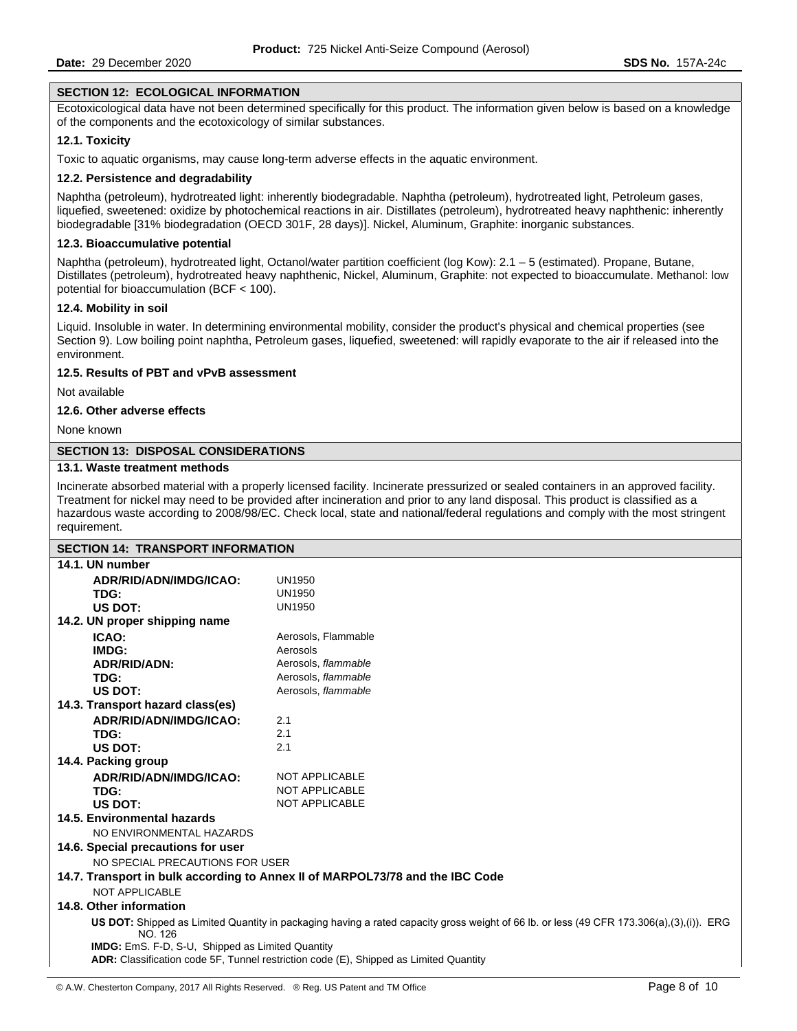### **SECTION 12: ECOLOGICAL INFORMATION**

Ecotoxicological data have not been determined specifically for this product. The information given below is based on a knowledge of the components and the ecotoxicology of similar substances.

### **12.1. Toxicity**

Toxic to aquatic organisms, may cause long-term adverse effects in the aquatic environment.

### **12.2. Persistence and degradability**

Naphtha (petroleum), hydrotreated light: inherently biodegradable. Naphtha (petroleum), hydrotreated light, Petroleum gases, liquefied, sweetened: oxidize by photochemical reactions in air. Distillates (petroleum), hydrotreated heavy naphthenic: inherently biodegradable [31% biodegradation (OECD 301F, 28 days)]. Nickel, Aluminum, Graphite: inorganic substances.

# **12.3. Bioaccumulative potential**

Naphtha (petroleum), hydrotreated light, Octanol/water partition coefficient (log Kow): 2.1 – 5 (estimated). Propane, Butane, Distillates (petroleum), hydrotreated heavy naphthenic, Nickel, Aluminum, Graphite: not expected to bioaccumulate. Methanol: low potential for bioaccumulation (BCF < 100).

### **12.4. Mobility in soil**

Liquid. Insoluble in water. In determining environmental mobility, consider the product's physical and chemical properties (see Section 9). Low boiling point naphtha, Petroleum gases, liquefied, sweetened: will rapidly evaporate to the air if released into the environment.

# **12.5. Results of PBT and vPvB assessment**

Not available

### **12.6. Other adverse effects**

None known

# **SECTION 13: DISPOSAL CONSIDERATIONS**

# **13.1. Waste treatment methods**

Incinerate absorbed material with a properly licensed facility. Incinerate pressurized or sealed containers in an approved facility. Treatment for nickel may need to be provided after incineration and prior to any land disposal. This product is classified as a hazardous waste according to 2008/98/EC. Check local, state and national/federal regulations and comply with the most stringent requirement.

| <b>SECTION 14: TRANSPORT INFORMATION</b>                |                                                                                                                                          |
|---------------------------------------------------------|------------------------------------------------------------------------------------------------------------------------------------------|
| 14.1. UN number                                         |                                                                                                                                          |
| ADR/RID/ADN/IMDG/ICAO:                                  | <b>UN1950</b>                                                                                                                            |
| TDG:                                                    | <b>UN1950</b>                                                                                                                            |
| US DOT:                                                 | <b>UN1950</b>                                                                                                                            |
| 14.2. UN proper shipping name                           |                                                                                                                                          |
| ICAO:                                                   | Aerosols, Flammable                                                                                                                      |
| IMDG:                                                   | Aerosols                                                                                                                                 |
| <b>ADR/RID/ADN:</b>                                     | Aerosols, flammable                                                                                                                      |
| TDG:                                                    | Aerosols, flammable                                                                                                                      |
| US DOT:                                                 | Aerosols, flammable                                                                                                                      |
| 14.3. Transport hazard class(es)                        |                                                                                                                                          |
| ADR/RID/ADN/IMDG/ICAO:                                  | 2.1                                                                                                                                      |
| TDG:                                                    | 2.1                                                                                                                                      |
| US DOT:                                                 | 2.1                                                                                                                                      |
| 14.4. Packing group                                     |                                                                                                                                          |
| ADR/RID/ADN/IMDG/ICAO:                                  | <b>NOT APPLICABLE</b>                                                                                                                    |
| TDG:                                                    | <b>NOT APPLICABLE</b>                                                                                                                    |
| US DOT:                                                 | <b>NOT APPLICABLE</b>                                                                                                                    |
| 14.5. Environmental hazards                             |                                                                                                                                          |
| NO ENVIRONMENTAL HAZARDS                                |                                                                                                                                          |
| 14.6. Special precautions for user                      |                                                                                                                                          |
| NO SPECIAL PRECAUTIONS FOR USER                         |                                                                                                                                          |
|                                                         | 14.7. Transport in bulk according to Annex II of MARPOL73/78 and the IBC Code                                                            |
| NOT APPLICABLE                                          |                                                                                                                                          |
| 14.8. Other information                                 |                                                                                                                                          |
| NO. 126                                                 | US DOT: Shipped as Limited Quantity in packaging having a rated capacity gross weight of 66 lb. or less (49 CFR 173.306(a),(3),(i)). ERG |
| <b>IMDG:</b> EmS. F-D, S-U, Shipped as Limited Quantity |                                                                                                                                          |
|                                                         | ADR: Classification code 5F, Tunnel restriction code (E), Shipped as Limited Ouantity                                                    |
|                                                         |                                                                                                                                          |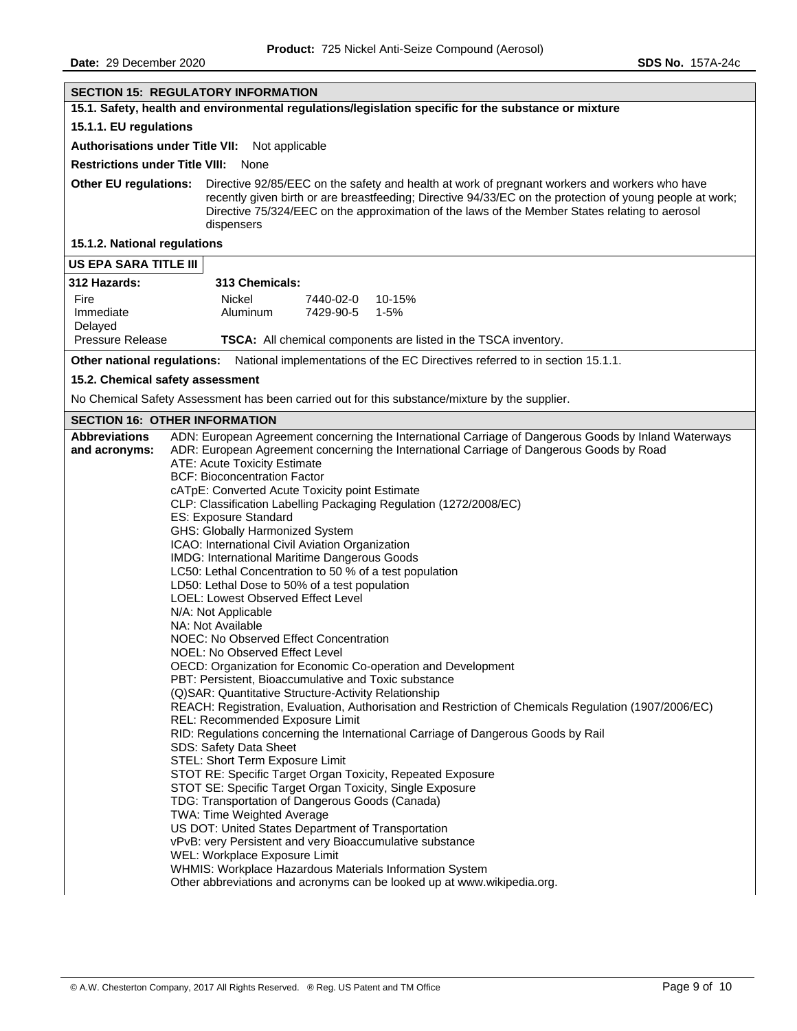| <b>SECTION 15: REGULATORY INFORMATION</b>                                                                                                                                                                                                                                                                                                                                                                                                                                                                                                                                                                                                                                                                                                                                                                                                                                                                                                                                                                                                                                                                                                                                                                                                                                                                                                                                                                                                                                                                                                                                                                                                                                                                                                                                                                                                                                  |  |  |  |
|----------------------------------------------------------------------------------------------------------------------------------------------------------------------------------------------------------------------------------------------------------------------------------------------------------------------------------------------------------------------------------------------------------------------------------------------------------------------------------------------------------------------------------------------------------------------------------------------------------------------------------------------------------------------------------------------------------------------------------------------------------------------------------------------------------------------------------------------------------------------------------------------------------------------------------------------------------------------------------------------------------------------------------------------------------------------------------------------------------------------------------------------------------------------------------------------------------------------------------------------------------------------------------------------------------------------------------------------------------------------------------------------------------------------------------------------------------------------------------------------------------------------------------------------------------------------------------------------------------------------------------------------------------------------------------------------------------------------------------------------------------------------------------------------------------------------------------------------------------------------------|--|--|--|
| 15.1. Safety, health and environmental regulations/legislation specific for the substance or mixture                                                                                                                                                                                                                                                                                                                                                                                                                                                                                                                                                                                                                                                                                                                                                                                                                                                                                                                                                                                                                                                                                                                                                                                                                                                                                                                                                                                                                                                                                                                                                                                                                                                                                                                                                                       |  |  |  |
| 15.1.1. EU regulations                                                                                                                                                                                                                                                                                                                                                                                                                                                                                                                                                                                                                                                                                                                                                                                                                                                                                                                                                                                                                                                                                                                                                                                                                                                                                                                                                                                                                                                                                                                                                                                                                                                                                                                                                                                                                                                     |  |  |  |
| Authorisations under Title VII: Not applicable                                                                                                                                                                                                                                                                                                                                                                                                                                                                                                                                                                                                                                                                                                                                                                                                                                                                                                                                                                                                                                                                                                                                                                                                                                                                                                                                                                                                                                                                                                                                                                                                                                                                                                                                                                                                                             |  |  |  |
| <b>Restrictions under Title VIII:</b><br>None                                                                                                                                                                                                                                                                                                                                                                                                                                                                                                                                                                                                                                                                                                                                                                                                                                                                                                                                                                                                                                                                                                                                                                                                                                                                                                                                                                                                                                                                                                                                                                                                                                                                                                                                                                                                                              |  |  |  |
| <b>Other EU regulations:</b><br>Directive 92/85/EEC on the safety and health at work of pregnant workers and workers who have<br>recently given birth or are breastfeeding; Directive 94/33/EC on the protection of young people at work;<br>Directive 75/324/EEC on the approximation of the laws of the Member States relating to aerosol<br>dispensers                                                                                                                                                                                                                                                                                                                                                                                                                                                                                                                                                                                                                                                                                                                                                                                                                                                                                                                                                                                                                                                                                                                                                                                                                                                                                                                                                                                                                                                                                                                  |  |  |  |
| 15.1.2. National regulations                                                                                                                                                                                                                                                                                                                                                                                                                                                                                                                                                                                                                                                                                                                                                                                                                                                                                                                                                                                                                                                                                                                                                                                                                                                                                                                                                                                                                                                                                                                                                                                                                                                                                                                                                                                                                                               |  |  |  |
| <b>US EPA SARA TITLE III</b>                                                                                                                                                                                                                                                                                                                                                                                                                                                                                                                                                                                                                                                                                                                                                                                                                                                                                                                                                                                                                                                                                                                                                                                                                                                                                                                                                                                                                                                                                                                                                                                                                                                                                                                                                                                                                                               |  |  |  |
| 312 Hazards:<br>313 Chemicals:                                                                                                                                                                                                                                                                                                                                                                                                                                                                                                                                                                                                                                                                                                                                                                                                                                                                                                                                                                                                                                                                                                                                                                                                                                                                                                                                                                                                                                                                                                                                                                                                                                                                                                                                                                                                                                             |  |  |  |
| Fire<br>Nickel<br>7440-02-0<br>10-15%<br>Immediate<br>Aluminum<br>7429-90-5<br>1-5%<br>Delayed                                                                                                                                                                                                                                                                                                                                                                                                                                                                                                                                                                                                                                                                                                                                                                                                                                                                                                                                                                                                                                                                                                                                                                                                                                                                                                                                                                                                                                                                                                                                                                                                                                                                                                                                                                             |  |  |  |
| <b>Pressure Release</b><br>TSCA: All chemical components are listed in the TSCA inventory.                                                                                                                                                                                                                                                                                                                                                                                                                                                                                                                                                                                                                                                                                                                                                                                                                                                                                                                                                                                                                                                                                                                                                                                                                                                                                                                                                                                                                                                                                                                                                                                                                                                                                                                                                                                 |  |  |  |
| Other national regulations: National implementations of the EC Directives referred to in section 15.1.1.                                                                                                                                                                                                                                                                                                                                                                                                                                                                                                                                                                                                                                                                                                                                                                                                                                                                                                                                                                                                                                                                                                                                                                                                                                                                                                                                                                                                                                                                                                                                                                                                                                                                                                                                                                   |  |  |  |
| 15.2. Chemical safety assessment                                                                                                                                                                                                                                                                                                                                                                                                                                                                                                                                                                                                                                                                                                                                                                                                                                                                                                                                                                                                                                                                                                                                                                                                                                                                                                                                                                                                                                                                                                                                                                                                                                                                                                                                                                                                                                           |  |  |  |
| No Chemical Safety Assessment has been carried out for this substance/mixture by the supplier.                                                                                                                                                                                                                                                                                                                                                                                                                                                                                                                                                                                                                                                                                                                                                                                                                                                                                                                                                                                                                                                                                                                                                                                                                                                                                                                                                                                                                                                                                                                                                                                                                                                                                                                                                                             |  |  |  |
| <b>SECTION 16: OTHER INFORMATION</b>                                                                                                                                                                                                                                                                                                                                                                                                                                                                                                                                                                                                                                                                                                                                                                                                                                                                                                                                                                                                                                                                                                                                                                                                                                                                                                                                                                                                                                                                                                                                                                                                                                                                                                                                                                                                                                       |  |  |  |
| <b>Abbreviations</b><br>ADN: European Agreement concerning the International Carriage of Dangerous Goods by Inland Waterways<br>ADR: European Agreement concerning the International Carriage of Dangerous Goods by Road<br>and acronyms:<br>ATE: Acute Toxicity Estimate<br><b>BCF: Bioconcentration Factor</b><br>cATpE: Converted Acute Toxicity point Estimate<br>CLP: Classification Labelling Packaging Regulation (1272/2008/EC)<br>ES: Exposure Standard<br>GHS: Globally Harmonized System<br>ICAO: International Civil Aviation Organization<br>IMDG: International Maritime Dangerous Goods<br>LC50: Lethal Concentration to 50 % of a test population<br>LD50: Lethal Dose to 50% of a test population<br><b>LOEL: Lowest Observed Effect Level</b><br>N/A: Not Applicable<br>NA: Not Available<br>NOEC: No Observed Effect Concentration<br>NOEL: No Observed Effect Level<br>OECD: Organization for Economic Co-operation and Development<br>PBT: Persistent, Bioaccumulative and Toxic substance<br>(Q) SAR: Quantitative Structure-Activity Relationship<br>REACH: Registration, Evaluation, Authorisation and Restriction of Chemicals Regulation (1907/2006/EC)<br>REL: Recommended Exposure Limit<br>RID: Regulations concerning the International Carriage of Dangerous Goods by Rail<br>SDS: Safety Data Sheet<br>STEL: Short Term Exposure Limit<br>STOT RE: Specific Target Organ Toxicity, Repeated Exposure<br>STOT SE: Specific Target Organ Toxicity, Single Exposure<br>TDG: Transportation of Dangerous Goods (Canada)<br>TWA: Time Weighted Average<br>US DOT: United States Department of Transportation<br>vPvB: very Persistent and very Bioaccumulative substance<br>WEL: Workplace Exposure Limit<br>WHMIS: Workplace Hazardous Materials Information System<br>Other abbreviations and acronyms can be looked up at www.wikipedia.org. |  |  |  |